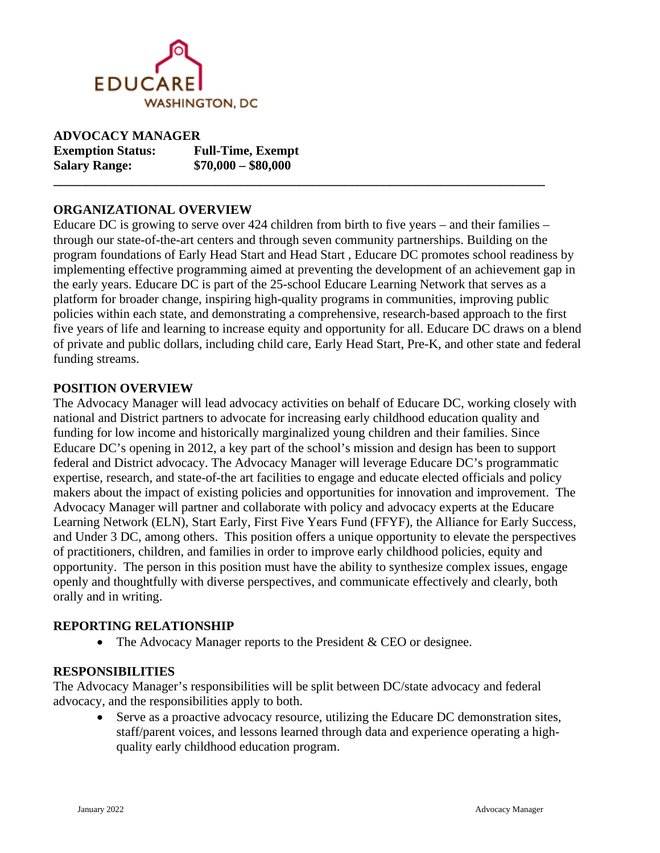

| <b>ADVOCACY MANAGER</b>  |                          |
|--------------------------|--------------------------|
| <b>Exemption Status:</b> | <b>Full-Time, Exempt</b> |
| <b>Salary Range:</b>     | $$70,000 - $80,000$      |

#### **ORGANIZATIONAL OVERVIEW**

Educare DC is growing to serve over 424 children from birth to five years – and their families – through our state-of-the-art centers and through seven community partnerships. Building on the program foundations of Early Head Start and Head Start , Educare DC promotes school readiness by implementing effective programming aimed at preventing the development of an achievement gap in the early years. Educare DC is part of the 25-school Educare Learning Network that serves as a platform for broader change, inspiring high-quality programs in communities, improving public policies within each state, and demonstrating a comprehensive, research-based approach to the first five years of life and learning to increase equity and opportunity for all. Educare DC draws on a blend of private and public dollars, including child care, Early Head Start, Pre-K, and other state and federal funding streams.

**\_\_\_\_\_\_\_\_\_\_\_\_\_\_\_\_\_\_\_\_\_\_\_\_\_\_\_\_\_\_\_\_\_\_\_\_\_\_\_\_\_\_\_\_\_\_\_\_\_\_\_\_\_\_\_\_\_\_\_\_\_\_\_\_\_\_\_\_\_\_\_\_\_\_\_\_**

#### **POSITION OVERVIEW**

The Advocacy Manager will lead advocacy activities on behalf of Educare DC, working closely with national and District partners to advocate for increasing early childhood education quality and funding for low income and historically marginalized young children and their families. Since Educare DC's opening in 2012, a key part of the school's mission and design has been to support federal and District advocacy. The Advocacy Manager will leverage Educare DC's programmatic expertise, research, and state-of-the art facilities to engage and educate elected officials and policy makers about the impact of existing policies and opportunities for innovation and improvement. The Advocacy Manager will partner and collaborate with policy and advocacy experts at the Educare Learning Network (ELN), Start Early, First Five Years Fund (FFYF), the Alliance for Early Success, and Under 3 DC, among others. This position offers a unique opportunity to elevate the perspectives of practitioners, children, and families in order to improve early childhood policies, equity and opportunity. The person in this position must have the ability to synthesize complex issues, engage openly and thoughtfully with diverse perspectives, and communicate effectively and clearly, both orally and in writing.

#### **REPORTING RELATIONSHIP**

• The Advocacy Manager reports to the President & CEO or designee.

#### **RESPONSIBILITIES**

The Advocacy Manager's responsibilities will be split between DC/state advocacy and federal advocacy, and the responsibilities apply to both.

Serve as a proactive advocacy resource, utilizing the Educare DC demonstration sites, staff/parent voices, and lessons learned through data and experience operating a highquality early childhood education program.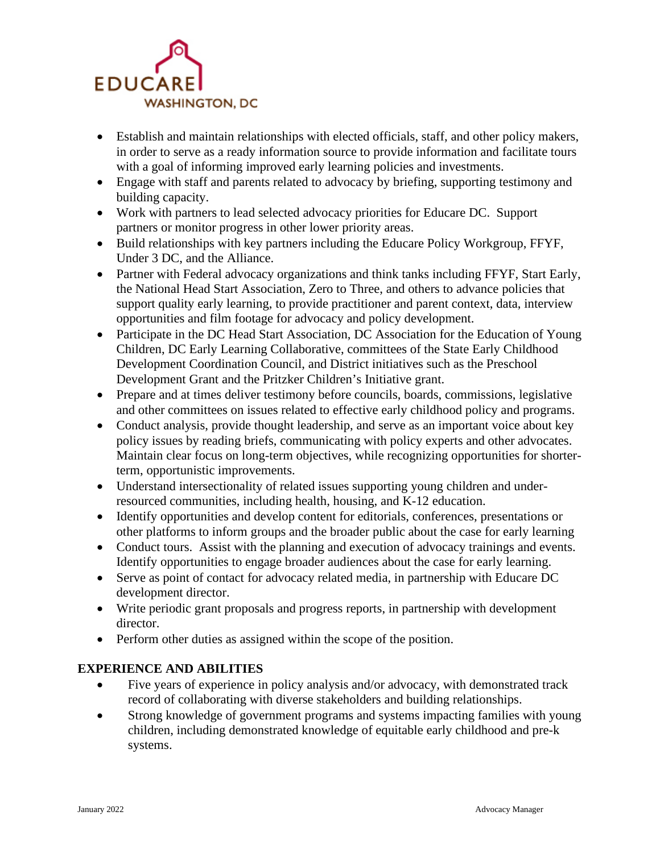

- Establish and maintain relationships with elected officials, staff, and other policy makers, in order to serve as a ready information source to provide information and facilitate tours with a goal of informing improved early learning policies and investments.
- Engage with staff and parents related to advocacy by briefing, supporting testimony and building capacity.
- Work with partners to lead selected advocacy priorities for Educare DC. Support partners or monitor progress in other lower priority areas.
- Build relationships with key partners including the Educare Policy Workgroup, FFYF, Under 3 DC, and the Alliance.
- Partner with Federal advocacy organizations and think tanks including FFYF, Start Early, the National Head Start Association, Zero to Three, and others to advance policies that support quality early learning, to provide practitioner and parent context, data, interview opportunities and film footage for advocacy and policy development.
- Participate in the DC Head Start Association, DC Association for the Education of Young Children, DC Early Learning Collaborative, committees of the State Early Childhood Development Coordination Council, and District initiatives such as the Preschool Development Grant and the Pritzker Children's Initiative grant.
- Prepare and at times deliver testimony before councils, boards, commissions, legislative and other committees on issues related to effective early childhood policy and programs.
- Conduct analysis, provide thought leadership, and serve as an important voice about key policy issues by reading briefs, communicating with policy experts and other advocates. Maintain clear focus on long-term objectives, while recognizing opportunities for shorterterm, opportunistic improvements.
- Understand intersectionality of related issues supporting young children and underresourced communities, including health, housing, and K-12 education.
- Identify opportunities and develop content for editorials, conferences, presentations or other platforms to inform groups and the broader public about the case for early learning
- Conduct tours. Assist with the planning and execution of advocacy trainings and events. Identify opportunities to engage broader audiences about the case for early learning.
- Serve as point of contact for advocacy related media, in partnership with Educare DC development director.
- Write periodic grant proposals and progress reports, in partnership with development director.
- Perform other duties as assigned within the scope of the position.

# **EXPERIENCE AND ABILITIES**

- Five years of experience in policy analysis and/or advocacy, with demonstrated track record of collaborating with diverse stakeholders and building relationships.
- Strong knowledge of government programs and systems impacting families with young children, including demonstrated knowledge of equitable early childhood and pre-k systems.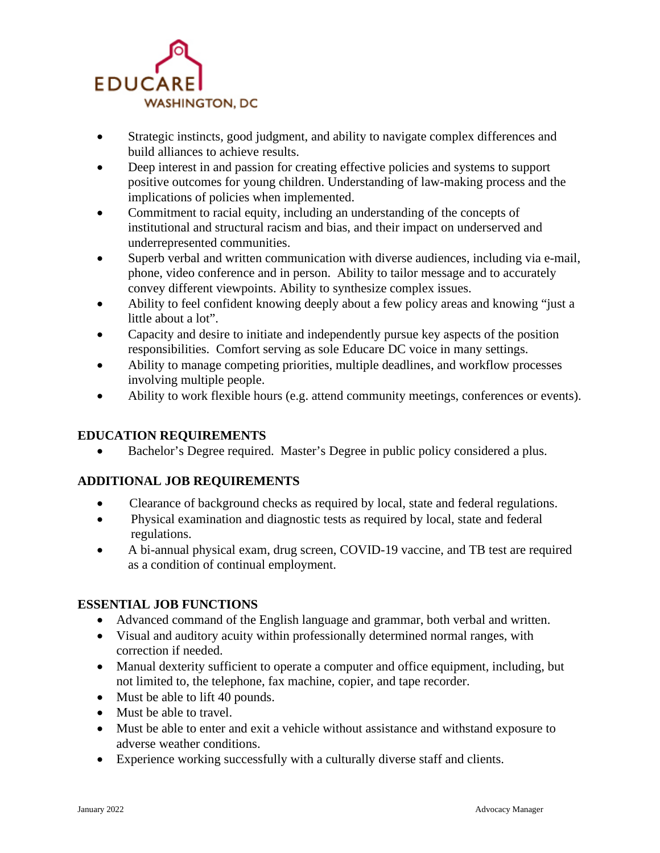

- Strategic instincts, good judgment, and ability to navigate complex differences and build alliances to achieve results.
- Deep interest in and passion for creating effective policies and systems to support positive outcomes for young children. Understanding of law-making process and the implications of policies when implemented.
- Commitment to racial equity, including an understanding of the concepts of institutional and structural racism and bias, and their impact on underserved and underrepresented communities.
- Superb verbal and written communication with diverse audiences, including via e-mail, phone, video conference and in person. Ability to tailor message and to accurately convey different viewpoints. Ability to synthesize complex issues.
- Ability to feel confident knowing deeply about a few policy areas and knowing "just a little about a lot".
- Capacity and desire to initiate and independently pursue key aspects of the position responsibilities. Comfort serving as sole Educare DC voice in many settings.
- Ability to manage competing priorities, multiple deadlines, and workflow processes involving multiple people.
- Ability to work flexible hours (e.g. attend community meetings, conferences or events).

# **EDUCATION REQUIREMENTS**

• Bachelor's Degree required. Master's Degree in public policy considered a plus.

# **ADDITIONAL JOB REQUIREMENTS**

- Clearance of background checks as required by local, state and federal regulations.
- Physical examination and diagnostic tests as required by local, state and federal regulations.
- A bi-annual physical exam, drug screen, COVID-19 vaccine, and TB test are required as a condition of continual employment.

# **ESSENTIAL JOB FUNCTIONS**

- Advanced command of the English language and grammar, both verbal and written.
- Visual and auditory acuity within professionally determined normal ranges, with correction if needed.
- Manual dexterity sufficient to operate a computer and office equipment, including, but not limited to, the telephone, fax machine, copier, and tape recorder.
- Must be able to lift 40 pounds.
- Must be able to travel.
- Must be able to enter and exit a vehicle without assistance and withstand exposure to adverse weather conditions.
- Experience working successfully with a culturally diverse staff and clients.